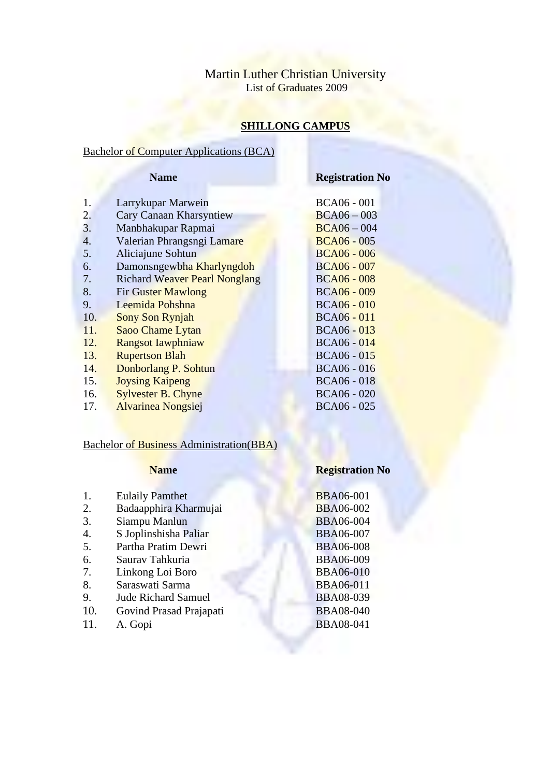# Martin Luther Christian University List of Graduates 2009

# **SHILLONG CAMPUS**

### Bachelor of Computer Applications (BCA)

### **Name Registration No**

- 1. Larrykupar Marwein BCA06 001
- 2. Cary Canaan Kharsyntiew BCA06 003<br>3. Manbhakupar Rapmai BCA06 004
- 3. Manbhakupar Rapmai BCA06 004
- 4. Valerian Phrangsngi Lamare BCA06 005
- 5. Aliciajune Sohtun BCA06 006
- 6. Damonsngewbha Kharlyngdoh BCA06 007
- 7. Richard Weaver Pearl Nonglang BCA06 008
- 8. Fir Guster Mawlong BCA06 009
- 9. Leemida Pohshna BCA06 010
- 10. Sony Son Rynjah BCA06 011
- 11. Saoo Chame Lytan BCA06 013
- 12. Rangsot Iawphniaw BCA06 014
- 13. Rupertson Blah BCA06 015
- 14. Donborlang P. Sohtun BCA06 016
- 15. **Joysing Kaipeng BCA06 018**
- 16. Sylvester B. Chyne BCA06 020
- 17. **Alvarinea Nongsiej BCA06 025**

### Bachelor of Business Administration(BBA)

# **Name Registration No**

| 1.  | <b>Eulaily Pamthet</b>     | <b>BBA06-001</b> |
|-----|----------------------------|------------------|
| 2.  | Badaapphira Kharmujai      | <b>BBA06-002</b> |
| 3.  | Siampu Manlun              | <b>BBA06-004</b> |
| 4.  | S Joplinshisha Paliar      | <b>BBA06-007</b> |
| 5.  | Partha Pratim Dewri        | <b>BBA06-008</b> |
| 6.  | Saurav Tahkuria            | <b>BBA06-009</b> |
| 7.  | Linkong Loi Boro           | <b>BBA06-010</b> |
| 8.  | Saraswati Sarma            | <b>BBA06-011</b> |
| 9.  | <b>Jude Richard Samuel</b> | <b>BBA08-039</b> |
| 10. | Govind Prasad Prajapati    | <b>BBA08-040</b> |
| 11. | A. Gopi                    | <b>BBA08-041</b> |
|     |                            |                  |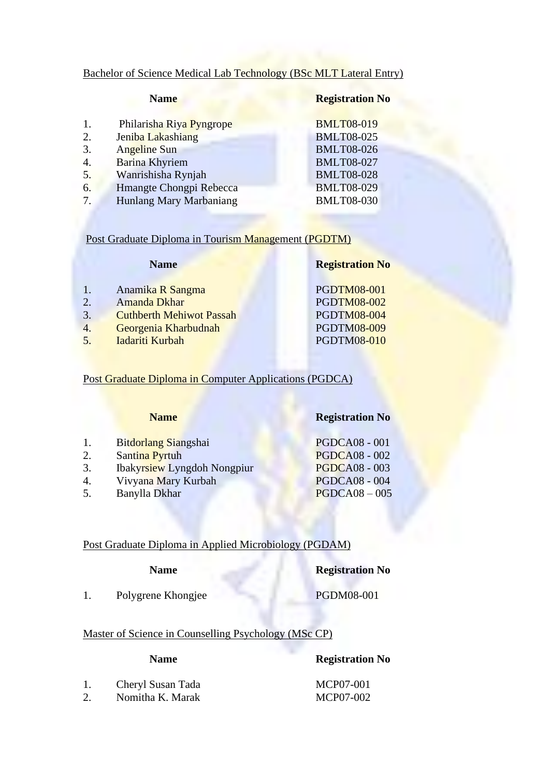# Bachelor of Science Medical Lab Technology (BSc MLT Lateral Entry)

| <b>BMLT08-019</b><br>Philarisha Riya Pyngrope<br>1. |  |
|-----------------------------------------------------|--|
| <b>BMLT08-025</b><br>Jeniba Lakashiang<br>2.        |  |
| <b>BMLT08-026</b><br>3.<br><b>Angeline Sun</b>      |  |
| <b>BMLT08-027</b><br><b>Barina Khyriem</b><br>4.    |  |
| 5.<br>Wanrishisha Rynjah<br><b>BMLT08-028</b>       |  |
| <b>BMLT08-029</b><br>Hmangte Chongpi Rebecca<br>6.  |  |
| Hunlang Mary Marbaniang<br><b>BMLT08-030</b><br>7.  |  |

Post Graduate Diploma in Tourism Management (PGDTM)

|    | <b>Name</b>                     | <b>Registration No</b> |
|----|---------------------------------|------------------------|
| 1. | Anamika R Sangma                | <b>PGDTM08-001</b>     |
| 2. | Amanda Dkhar                    | <b>PGDTM08-002</b>     |
| 3. | <b>Cuthberth Mehiwot Passah</b> | <b>PGDTM08-004</b>     |
| 4. | Georgenia Kharbudnah            | <b>PGDTM08-009</b>     |
| 5. | Iadariti Kurbah                 | <b>PGDTM08-010</b>     |
|    |                                 |                        |

Post Graduate Diploma in Computer Applications (PGDCA)

|    | <b>Name</b>                        | <b>Registration No</b> |
|----|------------------------------------|------------------------|
| 1. | Bitdorlang Siangshai               | <b>PGDCA08 - 001</b>   |
| 2. | Santina Pyrtuh                     | <b>PGDCA08 - 002</b>   |
| 3. | <b>Ibakyrsiew Lyngdoh Nongpiur</b> | <b>PGDCA08 - 003</b>   |
| 4. | Vivyana Mary Kurbah                | <b>PGDCA08 - 004</b>   |
| 5. | Banylla Dkhar                      | $PGDCA08 - 005$        |

# Post Graduate Diploma in Applied Microbiology (PGDAM)

| <b>Name</b> | <b>Registration No</b> |
|-------------|------------------------|
|             |                        |

1. Polygrene Khongjee PGDM08-001

# Master of Science in Counselling Psychology (MSc CP)

### **Name Registration No**

|    | Cheryl Susan Tada | MCP07-001 |
|----|-------------------|-----------|
| 2. | Nomitha K. Marak  | MCP07-002 |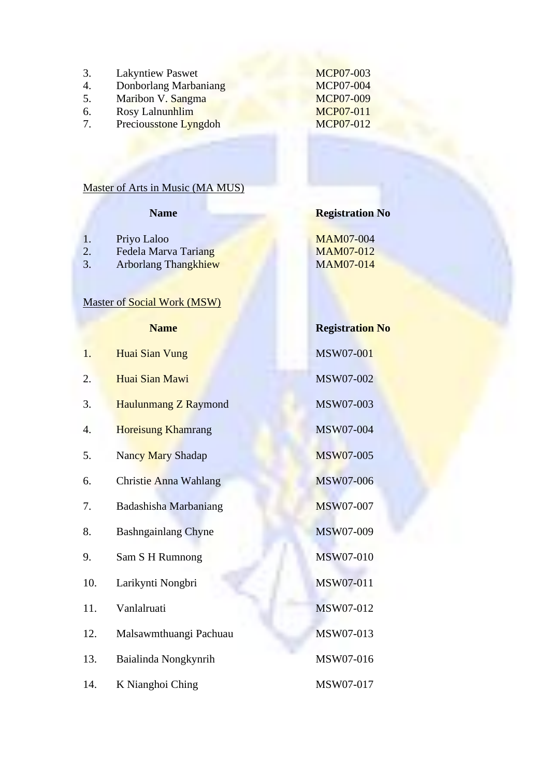- 3. Lakyntiew Paswet MCP07-003
- 4. Donborlang Marbaniang MCP07-004<br>5. Maribon V. Sangma MCP07-009
- 
- 6. Rosy Lalnunhlim
- 7. Preciousstone Lyngdoh MCP07-012

Maribon V. Sangma<br>
Rosy Lalnunhlim<br>
MCP07-011

# Master of Arts in Music (MA MUS)

# **Name Registration No**

- 
- 1. Priyo Laloo MAM07-004<br>2. Fedela Marva Tariang MAM07-012 2. Fedela Marva Tariang MAM07-012<br>
3. Arborlang Thangkhiew MAM07-014
- Arborlang Thangkhiew

# Master of Social Work (MSW)

# **Name Registration No**

| 1.  | Huai Sian Vung               | MSW07-001        |
|-----|------------------------------|------------------|
| 2.  | Huai Sian Mawi               | MSW07-002        |
| 3.  | <b>Haulunmang Z Raymond</b>  | MSW07-003        |
| 4.  | <b>Horeisung Khamrang</b>    | MSW07-004        |
| 5.  | Nancy Mary Shadap            | <b>MSW07-005</b> |
| 6.  | Christie Anna Wahlang        | MSW07-006        |
| 7.  | <b>Badashisha Marbaniang</b> | <b>MSW07-007</b> |
| 8.  | <b>Bashngainlang Chyne</b>   | MSW07-009        |
| 9.  | Sam S H Rumnong              | MSW07-010        |
| 10. | Larikynti Nongbri            | MSW07-011        |
| 11. | Vanlalruati                  | MSW07-012        |
| 12. | Malsawmthuangi Pachuau       | MSW07-013        |
| 13. | Baialinda Nongkynrih         | MSW07-016        |
| 14. | K Nianghoi Ching             | MSW07-017        |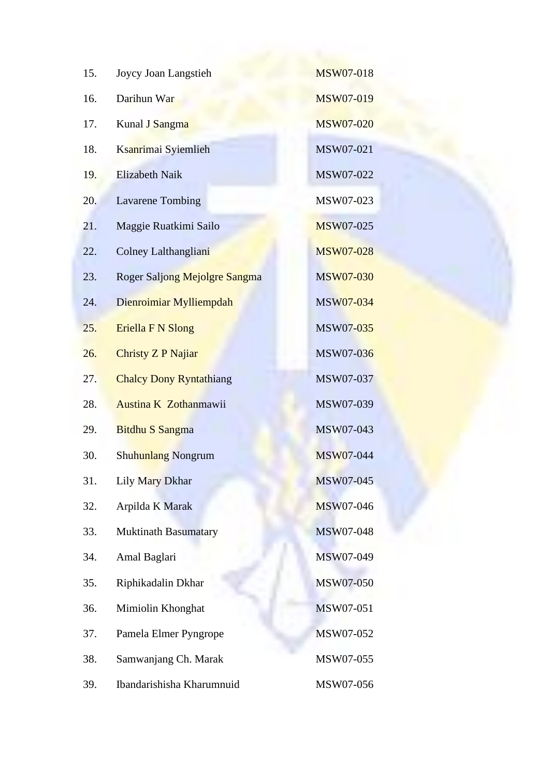| 15. | Joycy Joan Langstieh           | <b>MSW07-018</b> |
|-----|--------------------------------|------------------|
| 16. | Darihun War                    | <b>MSW07-019</b> |
| 17. | Kunal J Sangma                 | <b>MSW07-020</b> |
| 18. | Ksanrimai Syiemlieh            | MSW07-021        |
| 19. | <b>Elizabeth Naik</b>          | MSW07-022        |
| 20. | <b>Lavarene Tombing</b>        | MSW07-023        |
| 21. | Maggie Ruatkimi Sailo          | <b>MSW07-025</b> |
| 22. | Colney Lalthangliani           | <b>MSW07-028</b> |
| 23. | Roger Saljong Mejolgre Sangma  | MSW07-030        |
| 24. | Dienroimiar Mylliempdah        | MSW07-034        |
| 25. | Eriella F N Slong              | <b>MSW07-035</b> |
| 26. | <b>Christy Z P Najiar</b>      | MSW07-036        |
| 27. | <b>Chalcy Dony Ryntathiang</b> | MSW07-037        |
| 28. | Austina K Zothanmawii          | MSW07-039        |
| 29. | <b>Bitdhu S Sangma</b>         | MSW07-043        |
| 30. | Shuhunlang Nongrum             | <b>MSW07-044</b> |
| 31. | Lily Mary Dkhar                | <b>MSW07-045</b> |
| 32. | Arpilda K Marak                | MSW07-046        |
| 33. | <b>Muktinath Basumatary</b>    | MSW07-048        |
| 34. | Amal Baglari                   | MSW07-049        |
| 35. | Riphikadalin Dkhar             | MSW07-050        |
| 36. | Mimiolin Khonghat              | MSW07-051        |
| 37. | Pamela Elmer Pyngrope          | MSW07-052        |
| 38. | Samwanjang Ch. Marak           | MSW07-055        |
| 39. | Ibandarishisha Kharumnuid      | MSW07-056        |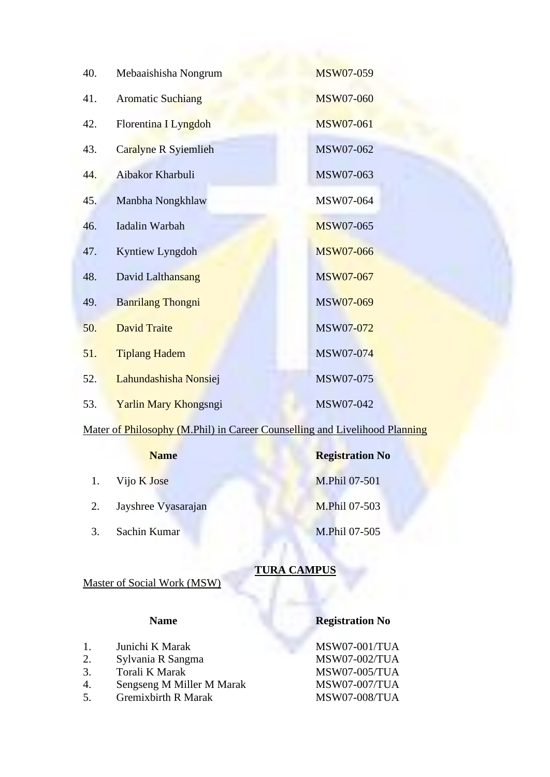| 40. | Mebaaishisha Nongrum     | MSW07-059        |
|-----|--------------------------|------------------|
| 41. | <b>Aromatic Suchiang</b> | <b>MSW07-060</b> |
| 42. | Florentina I Lyngdoh     | <b>MSW07-061</b> |
| 43. | Caralyne R Syiemlieh     | MSW07-062        |
| 44. | Aibakor Kharbuli         | MSW07-063        |
| 45. | Manbha Nongkhlaw         | MSW07-064        |
| 46. | Iadalin Warbah           | <b>MSW07-065</b> |
| 47. | Kyntiew Lyngdoh          | <b>MSW07-066</b> |
| 48. | David Lalthansang        | MSW07-067        |
| 49. | <b>Banrilang Thongni</b> | MSW07-069        |
| 50. | <b>David Traite</b>      | MSW07-072        |
| 51. | <b>Tiplang Hadem</b>     | MSW07-074        |
| 52. | Lahundashisha Nonsiej    | MSW07-075        |
| 53. | Yarlin Mary Khongsngi    | MSW07-042        |

# Mater of Philosophy (M.Phil) in Career Counselling and Livelihood Planning

| <b>Name</b> |                     | <b>Registration No</b> |
|-------------|---------------------|------------------------|
|             | 1. Vijo K Jose      | M.Phil 07-501          |
| 2.          | Jayshree Vyasarajan | M.Phil 07-503          |
| 3.          | Sachin Kumar        | M.Phil 07-505          |

# **TURA CAMPUS**

# Master of Social Work (MSW)

Gremixbirth R Marak

# **Name Registration No**

1. Junichi K Marak MSW07-001/TUA 2. Sylvania R Sangma MSW07-002/TUA 3. Torali K Marak MSW07-005/TUA 4. Sengseng M Miller M Marak MSW07-007/TUA<br>5. Gremixbirth R Marak MSW07-008/TUA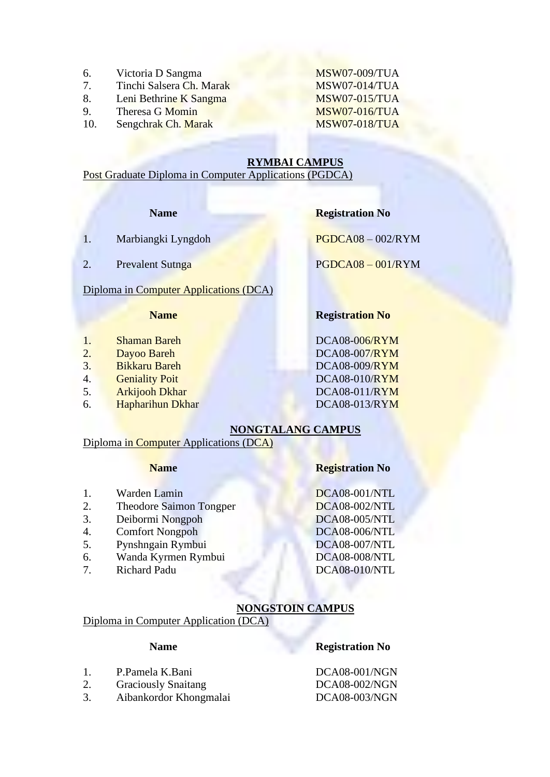- 6. Victoria D Sangma MSW07-009/TUA
- 7. Tinchi Salsera Ch. Marak MSW07-014/TUA
- 8. Leni Bethrine K Sangma MSW07-015/TUA
- 9. Theresa G Momin MSW07-016/TUA
- 10. Sengchrak Ch. Marak MSW07-018/TUA

### **RYMBAI CAMPUS**

Post Graduate Diploma in Computer Applications (PGDCA)

### **Name Registration No**

- 1. Marbiangki Lyngdoh PGDCA08 002/RYM
- 2. Prevalent Sutnga PGDCA08 001/RYM

### Diploma in Computer Applications (DCA)

- 1. Shaman Bareh DCA08-006/RYM
- 
- 3. Bikkaru Bareh DCA08-009/RYM
- 
- 5. Arkijooh Dkhar DCA08-011/RYM
- 6. Hapharihun Dkhar DCA08-013/RYM

# **Name Registration No**

2. Dayoo Bareh DCA08-007/RYM 4. Geniality Poit DCA08-010/RYM

# **NONGTALANG CAMPUS**

### Diploma in Computer Applications (DCA)

- 1. Warden Lamin DCA08-001/NTL
- 2. Theodore Saimon Tongper DCA08-002/NTL
- 3. Deibormi Nongpoh DCA08-005/NTL
- 4. Comfort Nongpoh DCA08-006/NTL
- 5. Pynshngain Rymbui DCA08-007/NTL
- 
- 7. Richard Padu DCA08-010/NTL

### **Name Registration No**

6. Wanda Kyrmen Rymbui DCA08-008/NTL<br>7. Richard Padu DCA08-010/NTL

### **NONGSTOIN CAMPUS**

# Diploma in Computer Application (DCA)

# **Name Registration No**

1. P.Pamela K.Bani DCA08-001/NGN

- 2. Graciously Snaitang DCA08-002/NGN
- 3. Aibankordor Khongmalai DCA08-003/NGN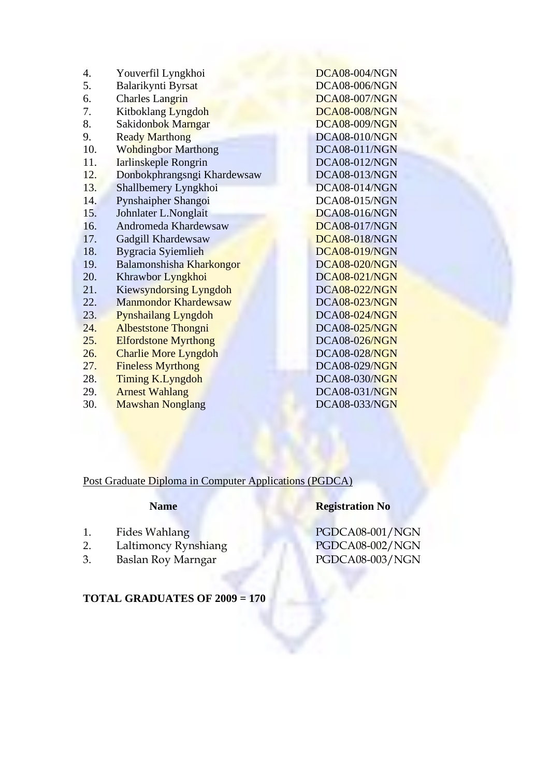| 4.  | Youverfil Lyngkhoi            | DCA08-004/NGN        |
|-----|-------------------------------|----------------------|
| 5.  | Balarikynti Byrsat            | <b>DCA08-006/NGN</b> |
| 6.  | <b>Charles Langrin</b>        | <b>DCA08-007/NGN</b> |
| 7.  | Kitboklang Lyngdoh            | <b>DCA08-008/NGN</b> |
| 8.  | Sakidonbok Marngar            | <b>DCA08-009/NGN</b> |
| 9.  | <b>Ready Marthong</b>         | DCA08-010/NGN        |
| 10. | <b>Wohdingbor Marthong</b>    | <b>DCA08-011/NGN</b> |
| 11. | Iarlinskeple Rongrin          | <b>DCA08-012/NGN</b> |
| 12. | Donbokphrangsngi Khardewsaw   | <b>DCA08-013/NGN</b> |
| 13. | Shallbemery Lyngkhoi          | DCA08-014/NGN        |
| 14. | Pynshaipher Shangoi           | <b>DCA08-015/NGN</b> |
| 15. | Johnlater L.Nonglait          | DCA08-016/NGN        |
| 16. | Andromeda Khardewsaw          | <b>DCA08-017/NGN</b> |
| 17. | Gadgill Khardewsaw            | <b>DCA08-018/NGN</b> |
| 18. | Bygracia Syiemlieh            | <b>DCA08-019/NGN</b> |
| 19. | Balamonshisha Kharkongor      | <b>DCA08-020/NGN</b> |
| 20. | Khrawbor Lyngkhoi             | <b>DCA08-021/NGN</b> |
| 21. | <b>Kiewsyndorsing Lyngdoh</b> | <b>DCA08-022/NGN</b> |
| 22. | <b>Manmondor Khardewsaw</b>   | <b>DCA08-023/NGN</b> |
| 23. | <b>Pynshailang Lyngdoh</b>    | <b>DCA08-024/NGN</b> |
| 24. | <b>Albeststone Thongni</b>    | <b>DCA08-025/NGN</b> |
| 25. | <b>Elfordstone Myrthong</b>   | <b>DCA08-026/NGN</b> |
| 26. | <b>Charlie More Lyngdoh</b>   | <b>DCA08-028/NGN</b> |
| 27. | <b>Fineless Myrthong</b>      | DCA08-029/NGN        |
| 28. | Timing K.Lyngdoh              | <b>DCA08-030/NGN</b> |
| 29. | <b>Arnest Wahlang</b>         | <b>DCA08-031/NGN</b> |
| 30. | <b>Mawshan Nonglang</b>       | <b>DCA08-033/NGN</b> |

# Post Graduate Diploma in Computer Applications (PGDCA)

- 2. Laltimoncy Rynshiang<br>3. Baslan Roy Marngar
- 

# **Name Registration No**

1. Fides Wahlang PGDCA08-001/NGN<br>
2. Laltimoncy Rynshiang PGDCA08-002/NGN PGDCA08-003/NGN

**TOTAL GRADUATES OF 2009 = 170**